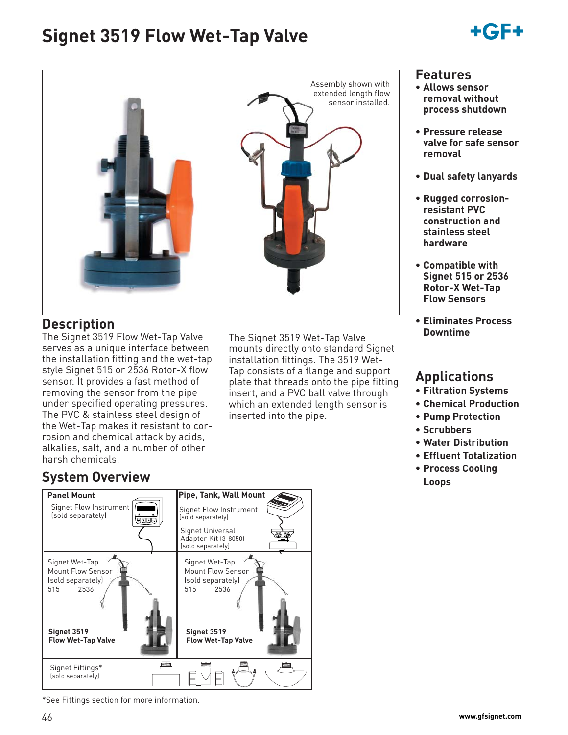# **Signet 3519 Flow Wet-Tap Valve**

# +6F+

**Features • Allows sensor removal without process shutdown**

**removal**

**• Pressure release valve for safe sensor** 

**• Dual safety lanyards**

**• Rugged corrosionresistant PVC construction and stainless steel hardware**

**• Compatible with Signet 515 or 2536 Rotor-X Wet-Tap Flow Sensors**

**• Eliminates Process** 

**Downtime**

**Applications • Filtration Systems • Chemical Production • Pump Protection**

**• Water Distribution • Effluent Totalization • Process Cooling** 

**• Scrubbers**

**Loops**



### **Description**

The Signet 3519 Flow Wet-Tap Valve serves as a unique interface between the installation fitting and the wet-tap style Signet 515 or 2536 Rotor-X flow sensor. It provides a fast method of removing the sensor from the pipe under specified operating pressures. The PVC & stainless steel design of the Wet-Tap makes it resistant to corrosion and chemical attack by acids, alkalies, salt, and a number of other harsh chemicals.

The Signet 3519 Wet-Tap Valve mounts directly onto standard Signet installation fittings. The 3519 Wet-Tap consists of a flange and support plate that threads onto the pipe fitting insert, and a PVC ball valve through which an extended length sensor is inserted into the pipe.

## **System Overview**



\*See Fittings section for more information.